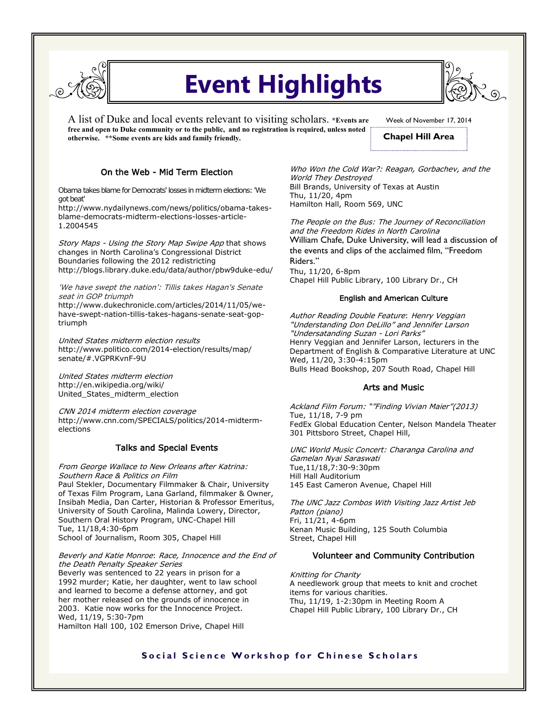

# **Event Highlights**

A list of Duke and local events relevant to visiting scholars. **\*Events are free and open to Duke community or to the public, and no registration is required, unless noted otherwise. \*\*Some events are kids and family friendly.** 

Week of November 17, 2014

# **Chapel Hill Area**

## On the Web - Mid Term Election

Obama takes blame for Democrats' losses in midterm elections: 'We got beat'

http://www.nydailynews.com/news/politics/obama-takesblame-democrats-midterm-elections-losses-article-1.2004545

Story Maps - Using the Story Map Swipe App that shows changes in North Carolina's Congressional District Boundaries following the 2012 redistricting http://blogs.library.duke.edu/data/author/pbw9duke-edu/

'We have swept the nation': Tillis takes Hagan's Senate seat in GOP triumph

http://www.dukechronicle.com/articles/2014/11/05/wehave-swept-nation-tillis-takes-hagans-senate-seat-goptriumph

United States midterm election results http://www.politico.com/2014-election/results/map/ senate/#.VGPRKvnF-9U

United States midterm election http://en.wikipedia.org/wiki/ United\_States\_midterm\_election

CNN 2014 midterm election coverage http://www.cnn.com/SPECIALS/politics/2014-midtermelections

## Talks and Special Events

From George Wallace to New Orleans after Katrina: Southern Race & Politics on Film

Paul Stekler, Documentary Filmmaker & Chair, University of Texas Film Program, Lana Garland, filmmaker & Owner, Insibah Media, Dan Carter, Historian & Professor Emeritus, University of South Carolina, Malinda Lowery, Director, Southern Oral History Program, UNC-Chapel Hill Tue, 11/18,4:30-6pm School of Journalism, Room 305, Chapel Hill

#### Beverly and Katie Monroe: Race, Innocence and the End of the Death Penalty Speaker Series

Beverly was sentenced to 22 years in prison for a 1992 murder; Katie, her daughter, went to law school and learned to become a defense attorney, and got her mother released on the grounds of innocence in 2003. Katie now works for the Innocence Project. Wed, 11/19, 5:30-7pm

Hamilton Hall 100, 102 Emerson Drive, Chapel Hill

Who Won the Cold War?: Reagan, Gorbachev, and the World They Destroyed Bill Brands, University of Texas at Austin Thu, 11/20, 4pm Hamilton Hall, Room 569, UNC

The People on the Bus: The Journey of Reconciliation and the Freedom Rides in North Carolina William Chafe, Duke University, will lead a discussion of the events and clips of the acclaimed film, "Freedom Riders." Thu, 11/20, 6-8pm

Chapel Hill Public Library, 100 Library Dr., CH

## English and American Culture

Author Reading Double Feature: Henry Veggian "Understanding Don DeLillo" and Jennifer Larson "Undersatanding Suzan - Lori Parks" Henry Veggian and Jennifer Larson, lecturers in the Department of English & Comparative Literature at UNC Wed, 11/20, 3:30-4:15pm Bulls Head Bookshop, 207 South Road, Chapel Hill

## Arts and Music

Ackland Film Forum: ""Finding Vivian Maier"(2013) Tue, 11/18, 7-9 pm FedEx Global Education Center, Nelson Mandela Theater 301 Pittsboro Street, Chapel Hill,

UNC World Music Concert: Charanga Carolina and Gamelan Nyai Saraswati Tue,11/18,7:30-9:30pm Hill Hall Auditorium 145 East Cameron Avenue, Chapel Hill

The UNC Jazz Combos With Visiting Jazz Artist Jeb Patton (piano) Fri, 11/21, 4-6pm Kenan Music Building, 125 South Columbia Street, Chapel Hill

## Volunteer and Community Contribution

Knitting for Charity A needlework group that meets to knit and crochet items for various charities. Thu, 11/19, 1-2:30pm in Meeting Room A Chapel Hill Public Library, 100 Library Dr., CH

## **Social Science Workshop for Chinese Scholars**